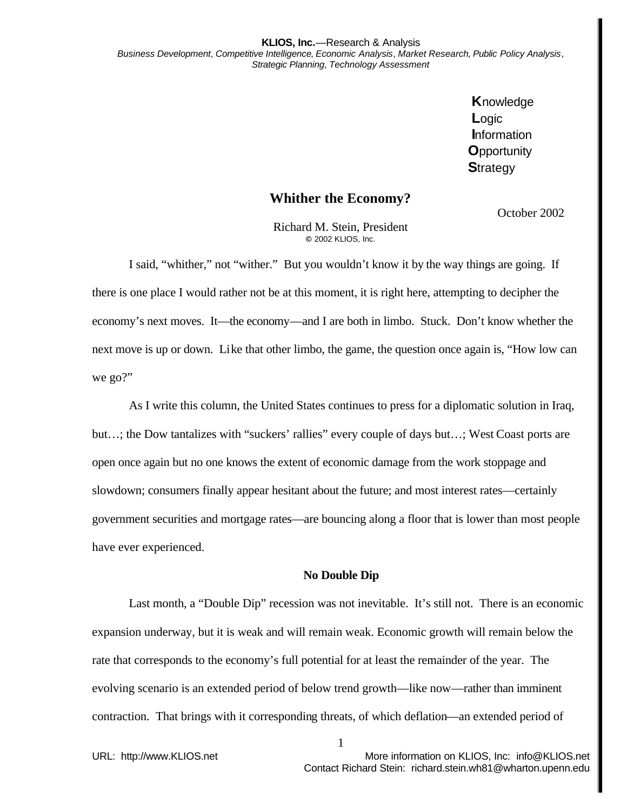**K**nowledge **L**ogic **I**nformation **O**pportunity **S**trategy

## **Whither the Economy?**

October 2002

Richard M. Stein, President **©** 2002 KLIOS, Inc.

I said, "whither," not "wither." But you wouldn't know it by the way things are going. If there is one place I would rather not be at this moment, it is right here, attempting to decipher the economy's next moves. It—the economy—and I are both in limbo. Stuck. Don't know whether the next move is up or down. Like that other limbo, the game, the question once again is, "How low can we go?"

As I write this column, the United States continues to press for a diplomatic solution in Iraq, but…; the Dow tantalizes with "suckers' rallies" every couple of days but…; West Coast ports are open once again but no one knows the extent of economic damage from the work stoppage and slowdown; consumers finally appear hesitant about the future; and most interest rates—certainly government securities and mortgage rates—are bouncing along a floor that is lower than most people have ever experienced.

## **No Double Dip**

Last month, a "Double Dip" recession was not inevitable. It's still not. There is an economic expansion underway, but it is weak and will remain weak. Economic growth will remain below the rate that corresponds to the economy's full potential for at least the remainder of the year. The evolving scenario is an extended period of below trend growth—like now—rather than imminent contraction. That brings with it corresponding threats, of which deflation—an extended period of

1